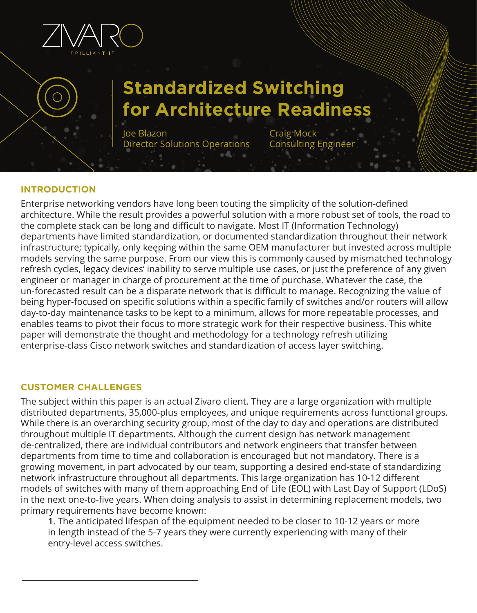

# **Standardized Switching for Architecture Readiness**

Joe Blazon Director Solutions Operations Craig Mock **Consulting Enginee** 

## **INTRODUCTION**

Enterprise networking vendors have long been touting the simplicity of the solution-defined architecture. While the result provides a powerful solution with a more robust set of tools, the road to the complete stack can be long and difficult to navigate. Most IT (Information Technology) departments have limited standardization, or documented standardization throughout their network infrastructure; typically, only keeping within the same OEM manufacturer but invested across multiple models serving the same purpose. From our view this is commonly caused by mismatched technology refresh cycles, legacy devices' inability to serve multiple use cases, or just the preference of any given engineer or manager in charge of procurement at the time of purchase. Whatever the case, the un-forecasted result can be a disparate network that is difficult to manage. Recognizing the value of being hyper-focused on specific solutions within a specific family of switches and/or routers will allow day-to-day maintenance tasks to be kept to a minimum, allows for more repeatable processes, and enables teams to pivot their focus to more strategic work for their respective business. This white paper will demonstrate the thought and methodology for a technology refresh utilizing enterprise-class Cisco network switches and standardization of access layer switching.

# **CUSTOMER CHALLENGES**

The subject within this paper is an actual Zivaro client. They are a large organization with multiple distributed departments, 35,000-plus employees, and unique requirements across functional groups. While there is an overarching security group, most of the day to day and operations are distributed throughout multiple IT departments. Although the current design has network management de-centralized, there are individual contributors and network engineers that transfer between departments from time to time and collaboration is encouraged but not mandatory. There is a growing movement, in part advocated by our team, supporting a desired end-state of standardizing network infrastructure throughout all departments. This large organization has 10-12 different models of switches with many of them approaching End of Life (EOL) with Last Day of Support (LDoS) in the next one-to-five years. When doing analysis to assist in determining replacement models, two primary requirements have become known:

**1**. The anticipated lifespan of the equipment needed to be closer to 10-12 years or more in length instead of the 5-7 years they were currently experiencing with many of their entry-level access switches.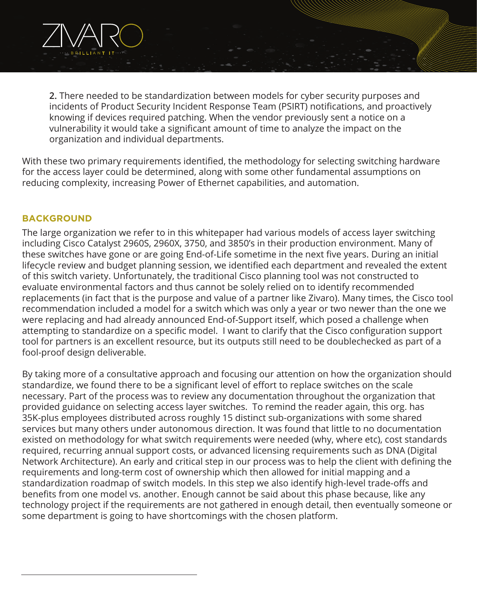

**2.** There needed to be standardization between models for cyber security purposes and incidents of Product Security Incident Response Team (PSIRT) notifications, and proactively knowing if devices required patching. When the vendor previously sent a notice on a vulnerability it would take a significant amount of time to analyze the impact on the organization and individual departments.

With these two primary requirements identified, the methodology for selecting switching hardware for the access layer could be determined, along with some other fundamental assumptions on reducing complexity, increasing Power of Ethernet capabilities, and automation.

# **BACKGROUND**

The large organization we refer to in this whitepaper had various models of access layer switching including Cisco Catalyst 2960S, 2960X, 3750, and 3850's in their production environment. Many of these switches have gone or are going End-of-Life sometime in the next five years. During an initial lifecycle review and budget planning session, we identified each department and revealed the extent of this switch variety. Unfortunately, the traditional Cisco planning tool was not constructed to evaluate environmental factors and thus cannot be solely relied on to identify recommended replacements (in fact that is the purpose and value of a partner like Zivaro). Many times, the Cisco tool recommendation included a model for a switch which was only a year or two newer than the one we were replacing and had already announced End-of-Support itself, which posed a challenge when attempting to standardize on a specific model. I want to clarify that the Cisco configuration support tool for partners is an excellent resource, but its outputs still need to be doublechecked as part of a fool-proof design deliverable.

By taking more of a consultative approach and focusing our attention on how the organization should standardize, we found there to be a significant level of effort to replace switches on the scale necessary. Part of the process was to review any documentation throughout the organization that provided guidance on selecting access layer switches. To remind the reader again, this org. has 35K-plus employees distributed across roughly 15 distinct sub-organizations with some shared services but many others under autonomous direction. It was found that little to no documentation existed on methodology for what switch requirements were needed (why, where etc), cost standards required, recurring annual support costs, or advanced licensing requirements such as DNA (Digital Network Architecture). An early and critical step in our process was to help the client with defining the requirements and long-term cost of ownership which then allowed for initial mapping and a standardization roadmap of switch models. In this step we also identify high-level trade-offs and benefits from one model vs. another. Enough cannot be said about this phase because, like any technology project if the requirements are not gathered in enough detail, then eventually someone or some department is going to have shortcomings with the chosen platform.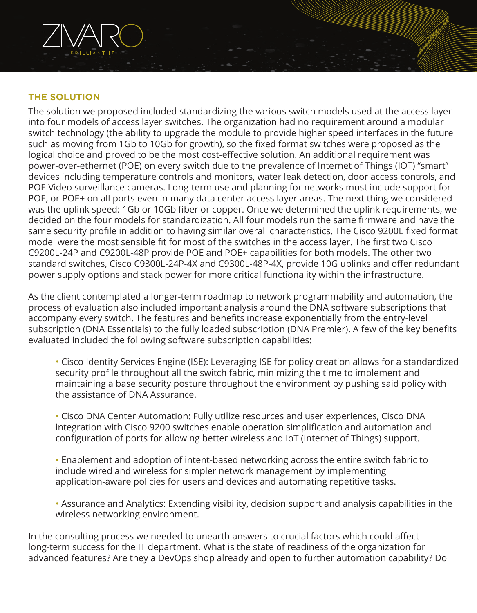

The solution we proposed included standardizing the various switch models used at the access layer into four models of access layer switches. The organization had no requirement around a modular switch technology (the ability to upgrade the module to provide higher speed interfaces in the future such as moving from 1Gb to 10Gb for growth), so the fixed format switches were proposed as the logical choice and proved to be the most cost-effective solution. An additional requirement was power-over-ethernet (POE) on every switch due to the prevalence of Internet of Things (IOT) "smart" devices including temperature controls and monitors, water leak detection, door access controls, and POE Video surveillance cameras. Long-term use and planning for networks must include support for POE, or POE+ on all ports even in many data center access layer areas. The next thing we considered was the uplink speed: 1Gb or 10Gb fiber or copper. Once we determined the uplink requirements, we decided on the four models for standardization. All four models run the same firmware and have the same security profile in addition to having similar overall characteristics. The Cisco 9200L fixed format model were the most sensible fit for most of the switches in the access layer. The first two Cisco C9200L-24P and C9200L-48P provide POE and POE+ capabilities for both models. The other two standard switches, Cisco C9300L-24P-4X and C9300L-48P-4X, provide 10G uplinks and offer redundant power supply options and stack power for more critical functionality within the infrastructure.

As the client contemplated a longer-term roadmap to network programmability and automation, the process of evaluation also included important analysis around the DNA software subscriptions that accompany every switch. The features and benefits increase exponentially from the entry-level subscription (DNA Essentials) to the fully loaded subscription (DNA Premier). A few of the key benefits evaluated included the following software subscription capabilities:

• Cisco Identity Services Engine (ISE): Leveraging ISE for policy creation allows for a standardized security profile throughout all the switch fabric, minimizing the time to implement and maintaining a base security posture throughout the environment by pushing said policy with the assistance of DNA Assurance.

 • Cisco DNA Center Automation: Fully utilize resources and user experiences, Cisco DNA integration with Cisco 9200 switches enable operation simplification and automation and configuration of ports for allowing better wireless and IoT (Internet of Things) support.

 • Enablement and adoption of intent-based networking across the entire switch fabric to include wired and wireless for simpler network management by implementing application-aware policies for users and devices and automating repetitive tasks.

 • Assurance and Analytics: Extending visibility, decision support and analysis capabilities in the wireless networking environment.

In the consulting process we needed to unearth answers to crucial factors which could affect long-term success for the IT department. What is the state of readiness of the organization for advanced features? Are they a DevOps shop already and open to further automation capability? Do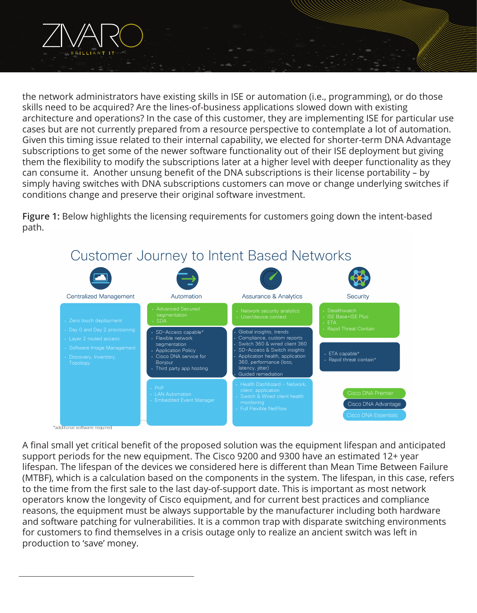

the network administrators have existing skills in ISE or automation (i.e., programming), or do those skills need to be acquired? Are the lines-of-business applications slowed down with existing architecture and operations? In the case of this customer, they are implementing ISE for particular use cases but are not currently prepared from a resource perspective to contemplate a lot of automation. Given this timing issue related to their internal capability, we elected for shorter-term DNA Advantage subscriptions to get some of the newer software functionality out of their ISE deployment but giving them the flexibility to modify the subscriptions later at a higher level with deeper functionality as they can consume it. Another unsung benefit of the DNA subscriptions is their license portability – by simply having switches with DNA subscriptions customers can move or change underlying switches if conditions change and preserve their original software investment.

**Figure 1:** Below highlights the licensing requirements for customers going down the intent-based path.



A final small yet critical benefit of the proposed solution was the equipment lifespan and anticipated support periods for the new equipment. The Cisco 9200 and 9300 have an estimated 12+ year lifespan. The lifespan of the devices we considered here is different than Mean Time Between Failure (MTBF), which is a calculation based on the components in the system. The lifespan, in this case, refers to the time from the first sale to the last day-of-support date. This is important as most network operators know the longevity of Cisco equipment, and for current best practices and compliance reasons, the equipment must be always supportable by the manufacturer including both hardware and software patching for vulnerabilities. It is a common trap with disparate switching environments for customers to find themselves in a crisis outage only to realize an ancient switch was left in production to 'save' money.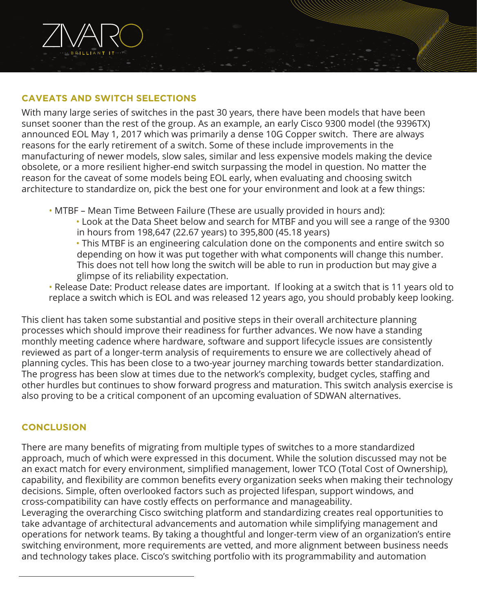

# **CAVEATS AND SWITCH SELECTIONS**

With many large series of switches in the past 30 years, there have been models that have been sunset sooner than the rest of the group. As an example, an early Cisco 9300 model (the 9396TX) announced EOL May 1, 2017 which was primarily a dense 10G Copper switch. There are always reasons for the early retirement of a switch. Some of these include improvements in the manufacturing of newer models, slow sales, similar and less expensive models making the device obsolete, or a more resilient higher-end switch surpassing the model in question. No matter the reason for the caveat of some models being EOL early, when evaluating and choosing switch architecture to standardize on, pick the best one for your environment and look at a few things:

- MTBF Mean Time Between Failure (These are usually provided in hours and):
	- Look at the Data Sheet below and search for MTBF and you will see a range of the 9300 in hours from 198,647 (22.67 years) to 395,800 (45.18 years)
	- This MTBF is an engineering calculation done on the components and entire switch so depending on how it was put together with what components will change this number. This does not tell how long the switch will be able to run in production but may give a glimpse of its reliability expectation.
- Release Date: Product release dates are important. If looking at a switch that is 11 years old to replace a switch which is EOL and was released 12 years ago, you should probably keep looking.

This client has taken some substantial and positive steps in their overall architecture planning processes which should improve their readiness for further advances. We now have a standing monthly meeting cadence where hardware, software and support lifecycle issues are consistently reviewed as part of a longer-term analysis of requirements to ensure we are collectively ahead of planning cycles. This has been close to a two-year journey marching towards better standardization. The progress has been slow at times due to the network's complexity, budget cycles, staffing and other hurdles but continues to show forward progress and maturation. This switch analysis exercise is also proving to be a critical component of an upcoming evaluation of SDWAN alternatives.

# **CONCLUSION**

There are many benefits of migrating from multiple types of switches to a more standardized approach, much of which were expressed in this document. While the solution discussed may not be an exact match for every environment, simplified management, lower TCO (Total Cost of Ownership), capability, and flexibility are common benefits every organization seeks when making their technology decisions. Simple, often overlooked factors such as projected lifespan, support windows, and cross-compatibility can have costly effects on performance and manageability.

Leveraging the overarching Cisco switching platform and standardizing creates real opportunities to take advantage of architectural advancements and automation while simplifying management and operations for network teams. By taking a thoughtful and longer-term view of an organization's entire switching environment, more requirements are vetted, and more alignment between business needs and technology takes place. Cisco's switching portfolio with its programmability and automation